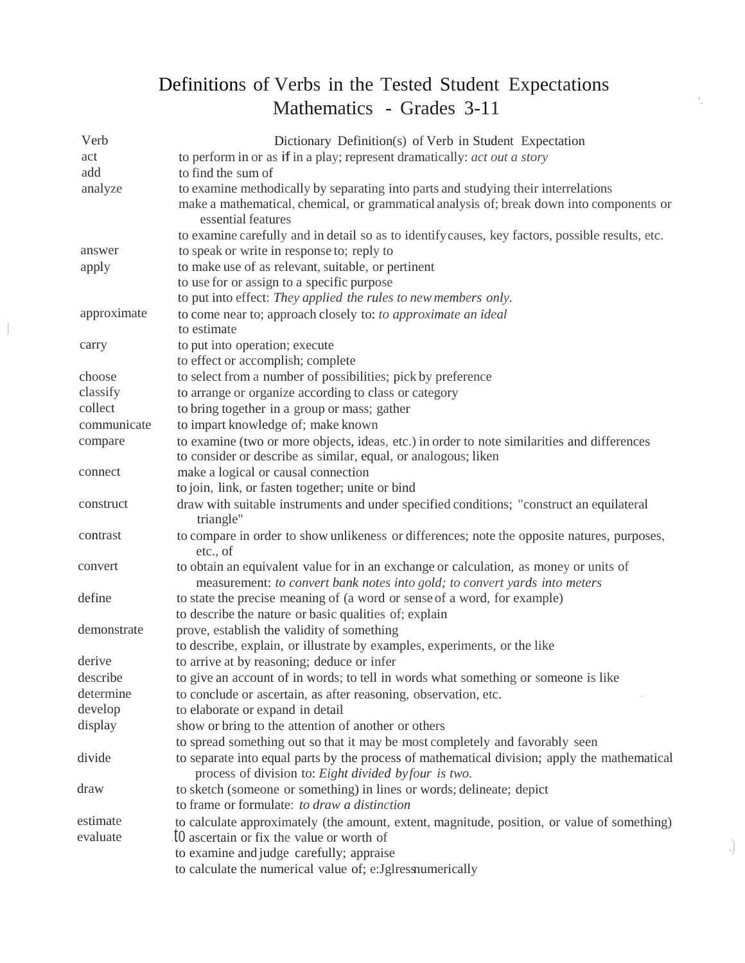## Definitions of Verbs in the Tested Student Expectations Mathematics - Grades 3-11

|  | Verb        | Dictionary Definition(s) of Verb in Student Expectation                                                                                                             |
|--|-------------|---------------------------------------------------------------------------------------------------------------------------------------------------------------------|
|  | act         | to perform in or as if in a play; represent dramatically: <i>act out a story</i>                                                                                    |
|  | add         | to find the sum of                                                                                                                                                  |
|  | analyze     | to examine methodically by separating into parts and studying their interrelations                                                                                  |
|  |             | make a mathematical, chemical, or grammatical analysis of; break down into components or<br>essential features                                                      |
|  |             | to examine carefully and in detail so as to identify causes, key factors, possible results, etc.                                                                    |
|  | answer      | to speak or write in response to; reply to                                                                                                                          |
|  | apply       | to make use of as relevant, suitable, or pertinent                                                                                                                  |
|  |             | to use for or assign to a specific purpose                                                                                                                          |
|  |             | to put into effect: They applied the rules to new members only.                                                                                                     |
|  | approximate | to come near to; approach closely to: to approximate an ideal<br>to estimate                                                                                        |
|  | carry       | to put into operation; execute                                                                                                                                      |
|  |             | to effect or accomplish; complete                                                                                                                                   |
|  | choose      | to select from a number of possibilities; pick by preference                                                                                                        |
|  | classify    | to arrange or organize according to class or category                                                                                                               |
|  | collect     | to bring together in a group or mass; gather                                                                                                                        |
|  | communicate | to impart knowledge of; make known                                                                                                                                  |
|  | compare     | to examine (two or more objects, ideas, etc.) in order to note similarities and differences                                                                         |
|  |             | to consider or describe as similar, equal, or analogous; liken                                                                                                      |
|  | connect     | make a logical or causal connection                                                                                                                                 |
|  |             | to join, link, or fasten together; unite or bind                                                                                                                    |
|  | construct   | draw with suitable instruments and under specified conditions; "construct an equilateral<br>triangle"                                                               |
|  | contrast    | to compare in order to show unlikeness or differences; note the opposite natures, purposes,<br>etc., of                                                             |
|  | convert     | to obtain an equivalent value for in an exchange or calculation, as money or units of<br>measurement: to convert bank notes into gold; to convert yards into meters |
|  | define      | to state the precise meaning of (a word or sense of a word, for example)                                                                                            |
|  |             | to describe the nature or basic qualities of; explain                                                                                                               |
|  | demonstrate | prove, establish the validity of something                                                                                                                          |
|  |             | to describe, explain, or illustrate by examples, experiments, or the like                                                                                           |
|  | derive      | to arrive at by reasoning; deduce or infer                                                                                                                          |
|  | describe    | to give an account of in words; to tell in words what something or someone is like                                                                                  |
|  | determine   | to conclude or ascertain, as after reasoning, observation, etc.                                                                                                     |
|  | develop     | to elaborate or expand in detail                                                                                                                                    |
|  | display     | show or bring to the attention of another or others                                                                                                                 |
|  |             | to spread something out so that it may be most completely and favorably seen                                                                                        |
|  | divide      | to separate into equal parts by the process of mathematical division; apply the mathematical<br>process of division to: Eight divided byfour is two.                |
|  | draw        | to sketch (someone or something) in lines or words; delineate; depict                                                                                               |
|  |             | to frame or formulate: to draw a distinction                                                                                                                        |
|  | estimate    | to calculate approximately (the amount, extent, magnitude, position, or value of something)                                                                         |
|  | evaluate    | IO ascertain or fix the value or worth of                                                                                                                           |
|  |             | to examine and judge carefully; appraise                                                                                                                            |
|  |             | to calculate the numerical value of; e:Jglressnumerically                                                                                                           |

.)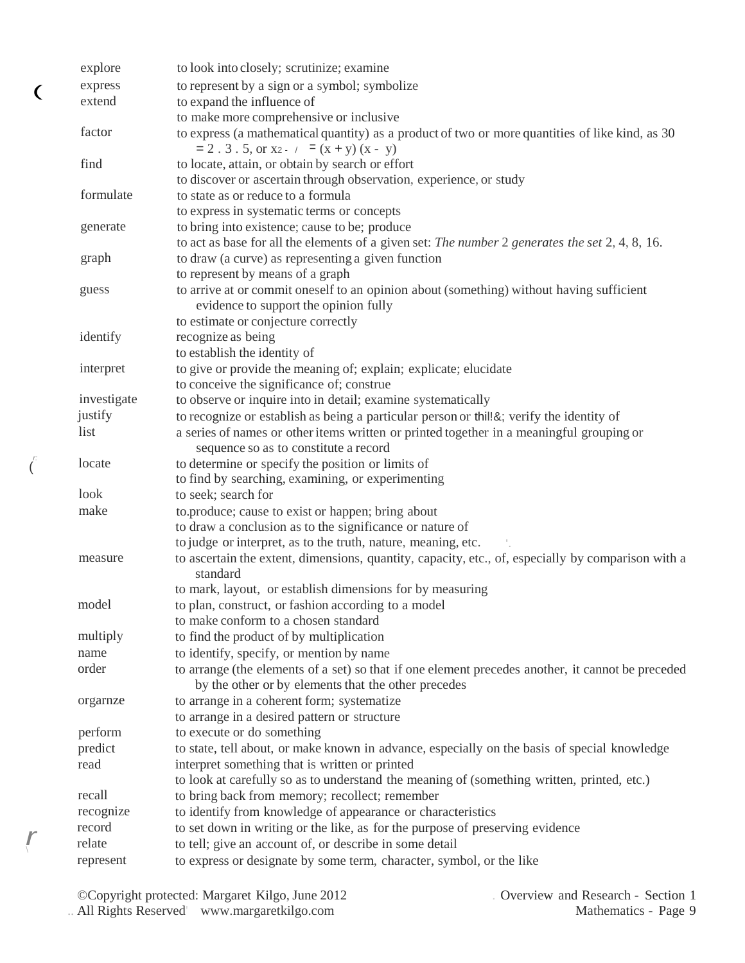|    | explore     | to look into closely; scrutinize; examine                                                                                                                |
|----|-------------|----------------------------------------------------------------------------------------------------------------------------------------------------------|
|    | express     | to represent by a sign or a symbol; symbolize                                                                                                            |
| €  | extend      | to expand the influence of                                                                                                                               |
|    |             | to make more comprehensive or inclusive                                                                                                                  |
|    | factor      | to express (a mathematical quantity) as a product of two or more quantities of like kind, as 30<br>$= 2$ . 3. 5, or x2. $7 = (x + y)(x - y)$             |
|    | find        | to locate, attain, or obtain by search or effort                                                                                                         |
|    |             | to discover or ascertain through observation, experience, or study                                                                                       |
|    | formulate   | to state as or reduce to a formula                                                                                                                       |
|    |             | to express in systematic terms or concepts                                                                                                               |
|    | generate    | to bring into existence; cause to be; produce                                                                                                            |
|    |             | to act as base for all the elements of a given set: The number 2 generates the set 2, 4, 8, 16.                                                          |
|    | graph       | to draw (a curve) as representing a given function                                                                                                       |
|    |             | to represent by means of a graph                                                                                                                         |
|    | guess       | to arrive at or commit oneself to an opinion about (something) without having sufficient<br>evidence to support the opinion fully                        |
|    |             | to estimate or conjecture correctly                                                                                                                      |
|    | identify    | recognize as being                                                                                                                                       |
|    |             | to establish the identity of                                                                                                                             |
|    | interpret   | to give or provide the meaning of; explain; explicate; elucidate                                                                                         |
|    |             | to conceive the significance of; construe                                                                                                                |
|    | investigate | to observe or inquire into in detail; examine systematically                                                                                             |
|    | justify     | to recognize or establish as being a particular person or thill &; verify the identity of                                                                |
|    | list        | a series of names or other items written or printed together in a meaningful grouping or<br>sequence so as to constitute a record                        |
| r: | locate      | to determine or specify the position or limits of<br>to find by searching, examining, or experimenting                                                   |
|    | look        | to seek; search for                                                                                                                                      |
|    | make        | to.produce; cause to exist or happen; bring about                                                                                                        |
|    |             | to draw a conclusion as to the significance or nature of                                                                                                 |
|    |             | to judge or interpret, as to the truth, nature, meaning, etc.                                                                                            |
|    | measure     | to ascertain the extent, dimensions, quantity, capacity, etc., of, especially by comparison with a<br>standard                                           |
|    |             | to mark, layout, or establish dimensions for by measuring                                                                                                |
|    | model       | to plan, construct, or fashion according to a model                                                                                                      |
|    |             | to make conform to a chosen standard                                                                                                                     |
|    | multiply    | to find the product of by multiplication                                                                                                                 |
|    | name        | to identify, specify, or mention by name                                                                                                                 |
|    | order       | to arrange (the elements of a set) so that if one element precedes another, it cannot be preceded<br>by the other or by elements that the other precedes |
|    | orgarnze    | to arrange in a coherent form; systematize                                                                                                               |
|    |             | to arrange in a desired pattern or structure                                                                                                             |
|    | perform     | to execute or do something                                                                                                                               |
|    | predict     | to state, tell about, or make known in advance, especially on the basis of special knowledge                                                             |
|    | read        | interpret something that is written or printed                                                                                                           |
|    |             | to look at carefully so as to understand the meaning of (something written, printed, etc.)                                                               |
|    | recall      | to bring back from memory; recollect; remember                                                                                                           |
|    | recognize   | to identify from knowledge of appearance or characteristics                                                                                              |
|    | record      | to set down in writing or the like, as for the purpose of preserving evidence                                                                            |
|    | relate      | to tell; give an account of, or describe in some detail                                                                                                  |
|    | represent   | to express or designate by some term, character, symbol, or the like                                                                                     |

 $\int_0^L$ 

(

 $\frac{r}{\sqrt{2}}$